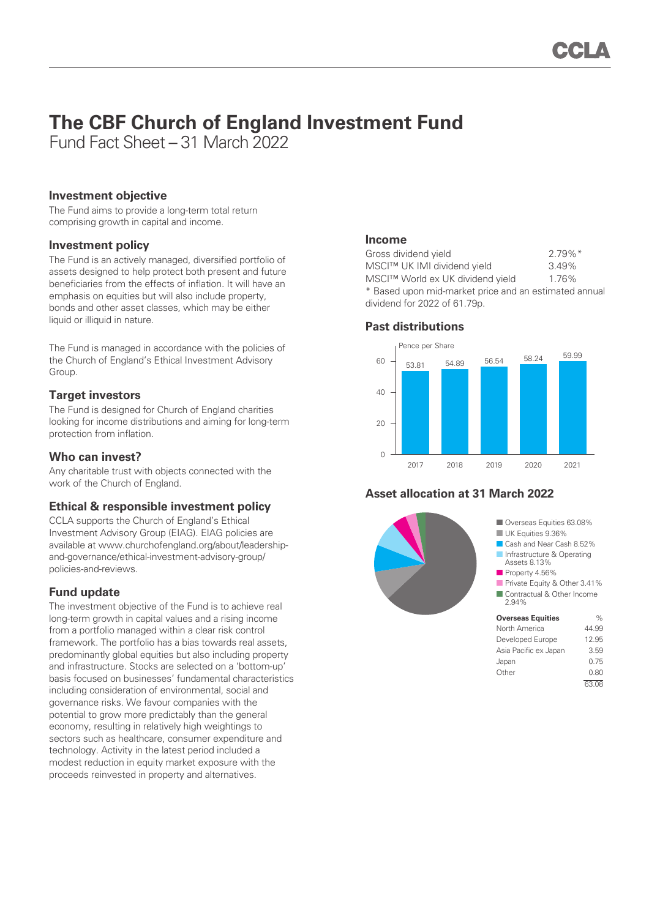# **The CBF Church of England Investment Fund**

Fund Fact Sheet – 31 March 2022

#### **Investment objective**

The Fund aims to provide a long-term total return comprising growth in capital and income.

#### **Investment policy**

The Fund is an actively managed, diversified portfolio of assets designed to help protect both present and future beneficiaries from the effects of inflation. It will have an emphasis on equities but will also include property, bonds and other asset classes, which may be either liquid or illiquid in nature.

The Fund is managed in accordance with the policies of the Church of England's Ethical Investment Advisory Group.

#### **Target investors**

The Fund is designed for Church of England charities looking for income distributions and aiming for long-term protection from inflation.

#### **Who can invest?**

Any charitable trust with objects connected with the work of the Church of England.

#### **Ethical & responsible investment policy**

CCLA supports the Church of England's Ethical Investment Advisory Group (EIAG). EIAG policies are available at www.churchofengland.org/about/leadershipand-governance/ethical-investment-advisory-group/ policies-and-reviews.

#### **Fund update**

The investment objective of the Fund is to achieve real long-term growth in capital values and a rising income from a portfolio managed within a clear risk control framework. The portfolio has a bias towards real assets, predominantly global equities but also including property and infrastructure. Stocks are selected on a 'bottom-up' basis focused on businesses' fundamental characteristics including consideration of environmental, social and governance risks. We favour companies with the potential to grow more predictably than the general economy, resulting in relatively high weightings to sectors such as healthcare, consumer expenditure and technology. Activity in the latest period included a modest reduction in equity market exposure with the proceeds reinvested in property and alternatives.

#### **Income**

| Gross dividend yield                                  | $2.79\%$ <sup>*</sup> |
|-------------------------------------------------------|-----------------------|
| MSCI™ UK IMI dividend yield                           | 3.49%                 |
| MSCI™ World ex UK dividend yield                      | 1.76%                 |
| * Based upon mid-market price and an estimated annual |                       |
| dividend for 2022 of 61.79p.                          |                       |

#### **Past distributions**



### **Asset allocation at 31 March 2022**



■ Overseas Equities 63.08% **UK Equities 9.36%** 

- Cash and Near Cash 8.52%
- Infrastructure & Operating Assets 8.13%
- Property 4.56%
- Private Equity & Other 3.41% ■ Contractual & Other Income

## 2.94%

| <b>Overseas Equities</b> | %     |
|--------------------------|-------|
| North America            | 44.99 |
| Developed Europe         | 12.95 |
| Asia Pacific ex Japan    | 3.59  |
| Japan                    | 0.75  |
| Other                    | 0.80  |
|                          | 63.08 |